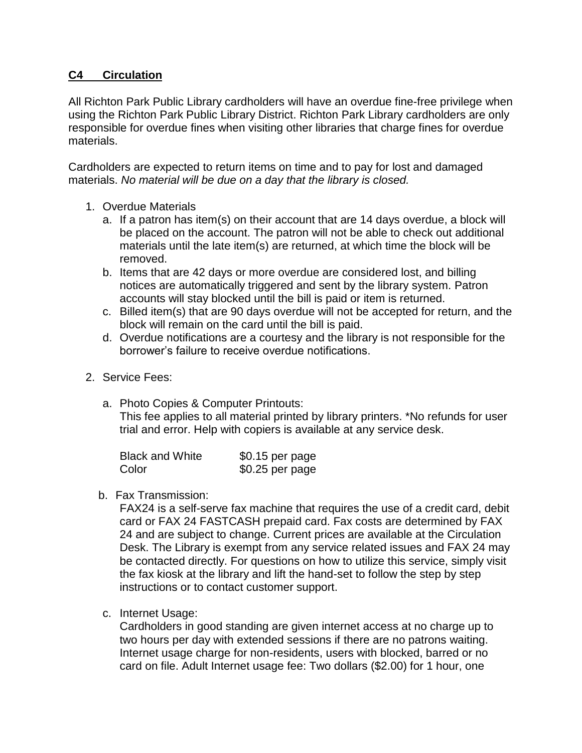## **C4 Circulation**

All Richton Park Public Library cardholders will have an overdue fine-free privilege when using the Richton Park Public Library District. Richton Park Library cardholders are only responsible for overdue fines when visiting other libraries that charge fines for overdue materials.

Cardholders are expected to return items on time and to pay for lost and damaged materials. *No material will be due on a day that the library is closed.*

- 1. Overdue Materials
	- a. If a patron has item(s) on their account that are 14 days overdue, a block will be placed on the account. The patron will not be able to check out additional materials until the late item(s) are returned, at which time the block will be removed.
	- b. Items that are 42 days or more overdue are considered lost, and billing notices are automatically triggered and sent by the library system. Patron accounts will stay blocked until the bill is paid or item is returned.
	- c. Billed item(s) that are 90 days overdue will not be accepted for return, and the block will remain on the card until the bill is paid.
	- d. Overdue notifications are a courtesy and the library is not responsible for the borrower's failure to receive overdue notifications.
- 2. Service Fees:
	- a. Photo Copies & Computer Printouts:

This fee applies to all material printed by library printers. \*No refunds for user trial and error. Help with copiers is available at any service desk.

| <b>Black and White</b> | \$0.15 per page |
|------------------------|-----------------|
| Color                  | \$0.25 per page |

b. Fax Transmission:

FAX24 is a self-serve fax machine that requires the use of a credit card, debit card or FAX 24 FASTCASH prepaid card. Fax costs are determined by FAX 24 and are subject to change. Current prices are available at the Circulation Desk. The Library is exempt from any service related issues and FAX 24 may be contacted directly. For questions on how to utilize this service, simply visit the fax kiosk at the library and lift the hand-set to follow the step by step instructions or to contact customer support.

c. Internet Usage:

Cardholders in good standing are given internet access at no charge up to two hours per day with extended sessions if there are no patrons waiting. Internet usage charge for non-residents, users with blocked, barred or no card on file. Adult Internet usage fee: Two dollars (\$2.00) for 1 hour, one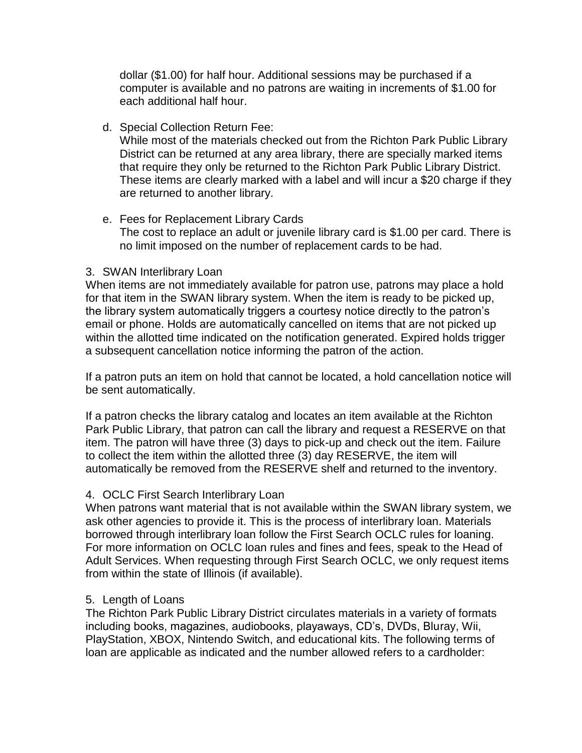dollar (\$1.00) for half hour. Additional sessions may be purchased if a computer is available and no patrons are waiting in increments of \$1.00 for each additional half hour.

d. Special Collection Return Fee:

While most of the materials checked out from the Richton Park Public Library District can be returned at any area library, there are specially marked items that require they only be returned to the Richton Park Public Library District. These items are clearly marked with a label and will incur a \$20 charge if they are returned to another library.

e. Fees for Replacement Library Cards The cost to replace an adult or juvenile library card is \$1.00 per card. There is no limit imposed on the number of replacement cards to be had.

## 3. SWAN Interlibrary Loan

When items are not immediately available for patron use, patrons may place a hold for that item in the SWAN library system. When the item is ready to be picked up, the library system automatically triggers a courtesy notice directly to the patron's email or phone. Holds are automatically cancelled on items that are not picked up within the allotted time indicated on the notification generated. Expired holds trigger a subsequent cancellation notice informing the patron of the action.

If a patron puts an item on hold that cannot be located, a hold cancellation notice will be sent automatically.

If a patron checks the library catalog and locates an item available at the Richton Park Public Library, that patron can call the library and request a RESERVE on that item. The patron will have three (3) days to pick-up and check out the item. Failure to collect the item within the allotted three (3) day RESERVE, the item will automatically be removed from the RESERVE shelf and returned to the inventory.

## 4. OCLC First Search Interlibrary Loan

When patrons want material that is not available within the SWAN library system, we ask other agencies to provide it. This is the process of interlibrary loan. Materials borrowed through interlibrary loan follow the First Search OCLC rules for loaning. For more information on OCLC loan rules and fines and fees, speak to the Head of Adult Services. When requesting through First Search OCLC, we only request items from within the state of Illinois (if available).

## 5. Length of Loans

The Richton Park Public Library District circulates materials in a variety of formats including books, magazines, audiobooks, playaways, CD's, DVDs, Bluray, Wii, PlayStation, XBOX, Nintendo Switch, and educational kits. The following terms of loan are applicable as indicated and the number allowed refers to a cardholder: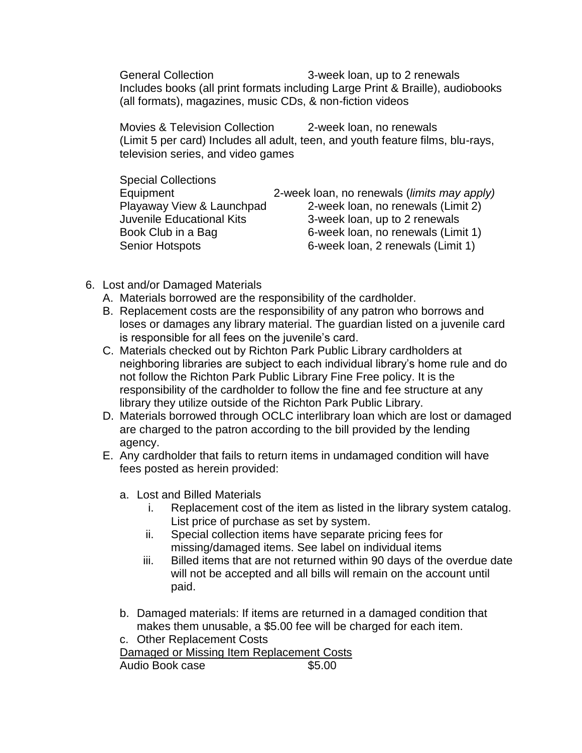General Collection 3-week loan, up to 2 renewals Includes books (all print formats including Large Print & Braille), audiobooks (all formats), magazines, music CDs, & non-fiction videos

Movies & Television Collection 2-week loan, no renewals (Limit 5 per card) Includes all adult, teen, and youth feature films, blu-rays, television series, and video games

| <b>Special Collections</b> |                                                      |
|----------------------------|------------------------------------------------------|
| Equipment                  | 2-week loan, no renewals ( <i>limits may apply</i> ) |
| Playaway View & Launchpad  | 2-week loan, no renewals (Limit 2)                   |
| Juvenile Educational Kits  | 3-week loan, up to 2 renewals                        |
| Book Club in a Bag         | 6-week loan, no renewals (Limit 1)                   |
| <b>Senior Hotspots</b>     | 6-week loan, 2 renewals (Limit 1)                    |

- 6. Lost and/or Damaged Materials
	- A. Materials borrowed are the responsibility of the cardholder.
	- B. Replacement costs are the responsibility of any patron who borrows and loses or damages any library material. The guardian listed on a juvenile card is responsible for all fees on the juvenile's card.
	- C. Materials checked out by Richton Park Public Library cardholders at neighboring libraries are subject to each individual library's home rule and do not follow the Richton Park Public Library Fine Free policy. It is the responsibility of the cardholder to follow the fine and fee structure at any library they utilize outside of the Richton Park Public Library.
	- D. Materials borrowed through OCLC interlibrary loan which are lost or damaged are charged to the patron according to the bill provided by the lending agency.
	- E. Any cardholder that fails to return items in undamaged condition will have fees posted as herein provided:
		- a. Lost and Billed Materials
			- i. Replacement cost of the item as listed in the library system catalog. List price of purchase as set by system.
			- ii. Special collection items have separate pricing fees for missing/damaged items. See label on individual items
			- iii. Billed items that are not returned within 90 days of the overdue date will not be accepted and all bills will remain on the account until paid.
		- b. Damaged materials: If items are returned in a damaged condition that makes them unusable, a \$5.00 fee will be charged for each item.
		- c. Other Replacement Costs

Damaged or Missing Item Replacement Costs

Audio Book case **\$5.00**